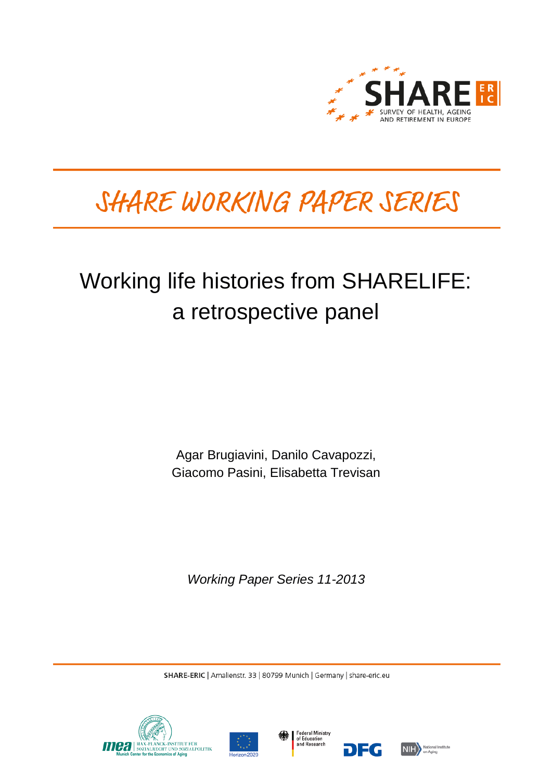

# SHARE WORKING PAPER SERIES

## Working life histories from SHARELIFE: a retrospective panel

Agar Brugiavini, Danilo Cavapozzi, Giacomo Pasini, Elisabetta Trevisan

*Working Paper Series 11-2013*

SHARE-ERIC | Amalienstr. 33 | 80799 Munich | Germany | share-eric.eu







DEG

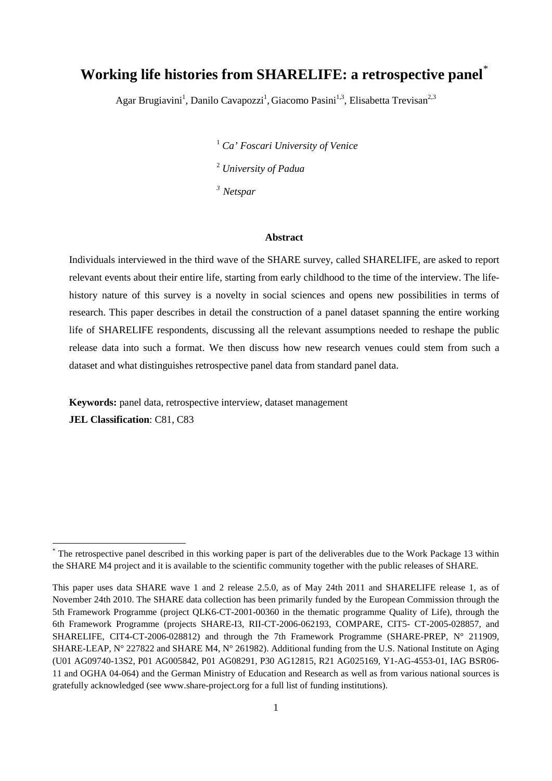### **Working life histories from SHARELIFE: a retrospective panel**[\\*](#page-1-0)

Agar Brugiavini<sup>1</sup>, Danilo Cavapozzi<sup>1</sup>, Giacomo Pasini<sup>1,3</sup>, Elisabetta Trevisan<sup>2,3</sup>

<sup>1</sup> *Ca' Foscari University of Venice* <sup>2</sup> *University of Padua* 

*3 Netspar*

#### **Abstract**

Individuals interviewed in the third wave of the SHARE survey, called SHARELIFE, are asked to report relevant events about their entire life, starting from early childhood to the time of the interview. The lifehistory nature of this survey is a novelty in social sciences and opens new possibilities in terms of research. This paper describes in detail the construction of a panel dataset spanning the entire working life of SHARELIFE respondents, discussing all the relevant assumptions needed to reshape the public release data into such a format. We then discuss how new research venues could stem from such a dataset and what distinguishes retrospective panel data from standard panel data.

**Keywords:** panel data, retrospective interview, dataset management

**JEL Classification**: C81, C83

<span id="page-1-0"></span>\* The retrospective panel described in this working paper is part of the deliverables due to the Work Package 13 within the SHARE M4 project and it is available to the scientific community together with the public releases of SHARE.

This paper uses data SHARE wave 1 and 2 release 2.5.0, as of May 24th 2011 and SHARELIFE release 1, as of November 24th 2010. The SHARE data collection has been primarily funded by the European Commission through the 5th Framework Programme (project QLK6-CT-2001-00360 in the thematic programme Quality of Life), through the 6th Framework Programme (projects SHARE-I3, RII-CT-2006-062193, COMPARE, CIT5- CT-2005-028857, and SHARELIFE, CIT4-CT-2006-028812) and through the 7th Framework Programme (SHARE-PREP, N° 211909, SHARE-LEAP, N° 227822 and SHARE M4, N° 261982). Additional funding from the U.S. National Institute on Aging (U01 AG09740-13S2, P01 AG005842, P01 AG08291, P30 AG12815, R21 AG025169, Y1-AG-4553-01, IAG BSR06- 11 and OGHA 04-064) and the German Ministry of Education and Research as well as from various national sources is gratefully acknowledged (see www.share-project.org for a full list of funding institutions).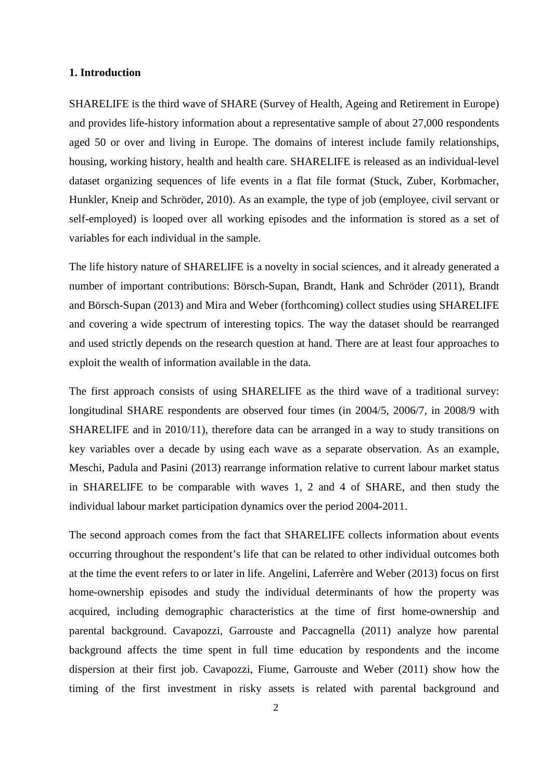#### **1. Introduction**

SHARELIFE is the third wave of SHARE (Survey of Health, Ageing and Retirement in Europe) and provides life-history information about a representative sample of about 27,000 respondents aged 50 or over and living in Europe. The domains of interest include family relationships, housing, working history, health and health care. SHARELIFE is released as an individual-level dataset organizing sequences of life events in a flat file format (Stuck, Zuber, Korbmacher, Hunkler, Kneip and Schröder, 2010). As an example, the type of job (employee, civil servant or self-employed) is looped over all working episodes and the information is stored as a set of variables for each individual in the sample.

The life history nature of SHARELIFE is a novelty in social sciences, and it already generated a number of important contributions: Börsch-Supan, Brandt, Hank and Schröder (2011), Brandt and Börsch-Supan (2013) and Mira and Weber (forthcoming) collect studies using SHARELIFE and covering a wide spectrum of interesting topics. The way the dataset should be rearranged and used strictly depends on the research question at hand. There are at least four approaches to exploit the wealth of information available in the data.

The first approach consists of using SHARELIFE as the third wave of a traditional survey: longitudinal SHARE respondents are observed four times (in 2004/5, 2006/7, in 2008/9 with SHARELIFE and in 2010/11), therefore data can be arranged in a way to study transitions on key variables over a decade by using each wave as a separate observation. As an example, Meschi, Padula and Pasini (2013) rearrange information relative to current labour market status in SHARELIFE to be comparable with waves 1, 2 and 4 of SHARE, and then study the individual labour market participation dynamics over the period 2004-2011.

The second approach comes from the fact that SHARELIFE collects information about events occurring throughout the respondent's life that can be related to other individual outcomes both at the time the event refers to or later in life. Angelini, Laferrère and Weber (2013) focus on first home-ownership episodes and study the individual determinants of how the property was acquired, including demographic characteristics at the time of first home-ownership and parental background. Cavapozzi, Garrouste and Paccagnella (2011) analyze how parental background affects the time spent in full time education by respondents and the income dispersion at their first job. Cavapozzi, Fiume, Garrouste and Weber (2011) show how the timing of the first investment in risky assets is related with parental background and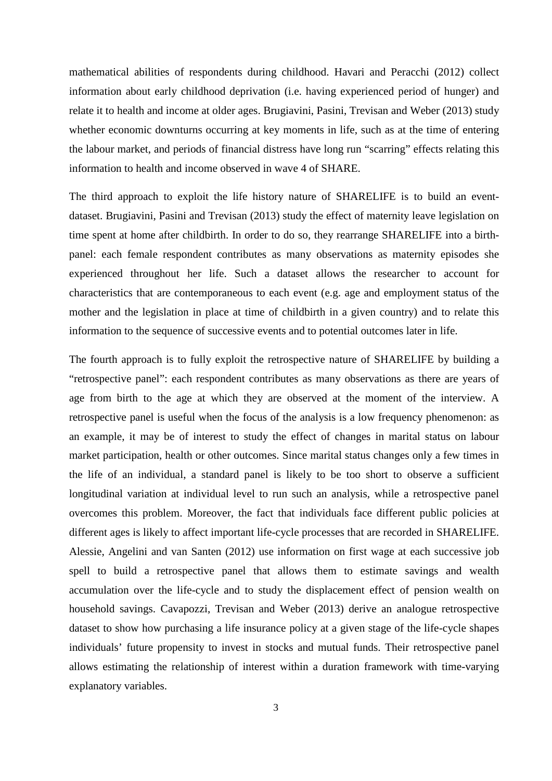mathematical abilities of respondents during childhood. Havari and Peracchi (2012) collect information about early childhood deprivation (i.e. having experienced period of hunger) and relate it to health and income at older ages. Brugiavini, Pasini, Trevisan and Weber (2013) study whether economic downturns occurring at key moments in life, such as at the time of entering the labour market, and periods of financial distress have long run "scarring" effects relating this information to health and income observed in wave 4 of SHARE.

The third approach to exploit the life history nature of SHARELIFE is to build an eventdataset. Brugiavini, Pasini and Trevisan (2013) study the effect of maternity leave legislation on time spent at home after childbirth. In order to do so, they rearrange SHARELIFE into a birthpanel: each female respondent contributes as many observations as maternity episodes she experienced throughout her life. Such a dataset allows the researcher to account for characteristics that are contemporaneous to each event (e.g. age and employment status of the mother and the legislation in place at time of childbirth in a given country) and to relate this information to the sequence of successive events and to potential outcomes later in life.

The fourth approach is to fully exploit the retrospective nature of SHARELIFE by building a "retrospective panel": each respondent contributes as many observations as there are years of age from birth to the age at which they are observed at the moment of the interview. A retrospective panel is useful when the focus of the analysis is a low frequency phenomenon: as an example, it may be of interest to study the effect of changes in marital status on labour market participation, health or other outcomes. Since marital status changes only a few times in the life of an individual, a standard panel is likely to be too short to observe a sufficient longitudinal variation at individual level to run such an analysis, while a retrospective panel overcomes this problem. Moreover, the fact that individuals face different public policies at different ages is likely to affect important life-cycle processes that are recorded in SHARELIFE. Alessie, Angelini and van Santen (2012) use information on first wage at each successive job spell to build a retrospective panel that allows them to estimate savings and wealth accumulation over the life-cycle and to study the displacement effect of pension wealth on household savings. Cavapozzi, Trevisan and Weber (2013) derive an analogue retrospective dataset to show how purchasing a life insurance policy at a given stage of the life-cycle shapes individuals' future propensity to invest in stocks and mutual funds. Their retrospective panel allows estimating the relationship of interest within a duration framework with time-varying explanatory variables.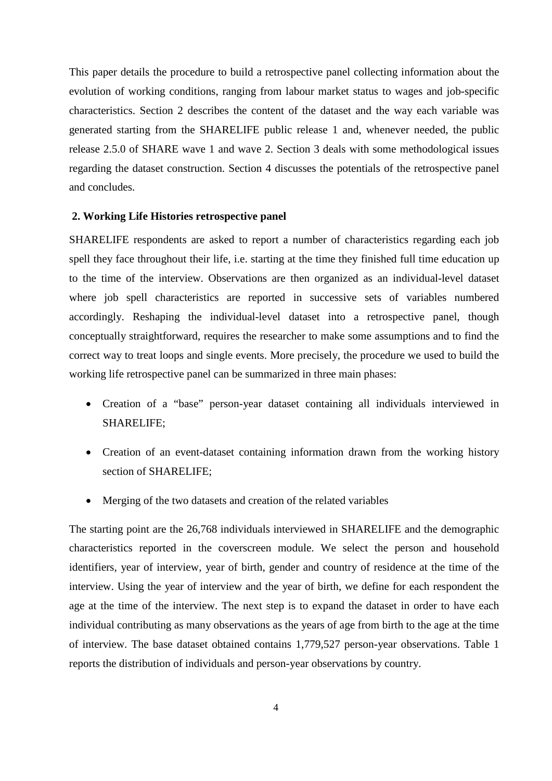This paper details the procedure to build a retrospective panel collecting information about the evolution of working conditions, ranging from labour market status to wages and job-specific characteristics. Section 2 describes the content of the dataset and the way each variable was generated starting from the SHARELIFE public release 1 and, whenever needed, the public release 2.5.0 of SHARE wave 1 and wave 2. Section 3 deals with some methodological issues regarding the dataset construction. Section 4 discusses the potentials of the retrospective panel and concludes.

#### **2. Working Life Histories retrospective panel**

SHARELIFE respondents are asked to report a number of characteristics regarding each job spell they face throughout their life, i.e. starting at the time they finished full time education up to the time of the interview. Observations are then organized as an individual-level dataset where job spell characteristics are reported in successive sets of variables numbered accordingly. Reshaping the individual-level dataset into a retrospective panel, though conceptually straightforward, requires the researcher to make some assumptions and to find the correct way to treat loops and single events. More precisely, the procedure we used to build the working life retrospective panel can be summarized in three main phases:

- Creation of a "base" person-year dataset containing all individuals interviewed in SHARELIFE;
- Creation of an event-dataset containing information drawn from the working history section of SHARELIFE;
- Merging of the two datasets and creation of the related variables

The starting point are the 26,768 individuals interviewed in SHARELIFE and the demographic characteristics reported in the coverscreen module. We select the person and household identifiers, year of interview, year of birth, gender and country of residence at the time of the interview. Using the year of interview and the year of birth, we define for each respondent the age at the time of the interview. The next step is to expand the dataset in order to have each individual contributing as many observations as the years of age from birth to the age at the time of interview. The base dataset obtained contains 1,779,527 person-year observations. Table 1 reports the distribution of individuals and person-year observations by country.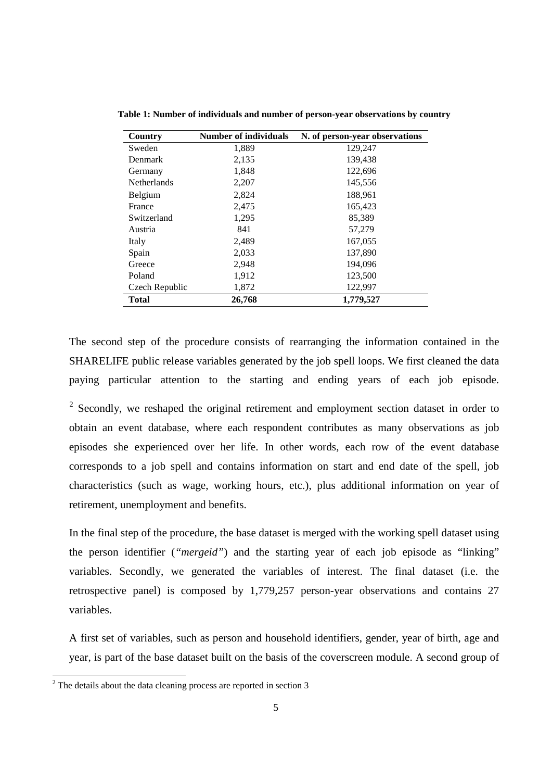| Country            | <b>Number of individuals</b> | N. of person-year observations |
|--------------------|------------------------------|--------------------------------|
| Sweden             | 1,889                        | 129,247                        |
| <b>Denmark</b>     | 2,135                        | 139,438                        |
| Germany            | 1,848                        | 122,696                        |
| <b>Netherlands</b> | 2,207                        | 145,556                        |
| Belgium            | 2,824                        | 188,961                        |
| France             | 2,475                        | 165,423                        |
| Switzerland        | 1,295                        | 85,389                         |
| Austria            | 841                          | 57,279                         |
| Italy              | 2,489                        | 167,055                        |
| Spain              | 2,033                        | 137,890                        |
| Greece             | 2,948                        | 194,096                        |
| Poland             | 1,912                        | 123,500                        |
| Czech Republic     | 1,872                        | 122,997                        |
| <b>Total</b>       | 26,768                       | 1,779,527                      |

**Table 1: Number of individuals and number of person-year observations by country**

The second step of the procedure consists of rearranging the information contained in the SHARELIFE public release variables generated by the job spell loops. We first cleaned the data paying particular attention to the starting and ending years of each job episode.

<sup>[2](#page-5-0)</sup> Secondly, we reshaped the original retirement and employment section dataset in order to obtain an event database, where each respondent contributes as many observations as job episodes she experienced over her life. In other words, each row of the event database corresponds to a job spell and contains information on start and end date of the spell, job characteristics (such as wage, working hours, etc.), plus additional information on year of retirement, unemployment and benefits.

In the final step of the procedure, the base dataset is merged with the working spell dataset using the person identifier (*"mergeid"*) and the starting year of each job episode as "linking" variables. Secondly, we generated the variables of interest. The final dataset (i.e. the retrospective panel) is composed by 1,779,257 person-year observations and contains 27 variables.

A first set of variables, such as person and household identifiers, gender, year of birth, age and year, is part of the base dataset built on the basis of the coverscreen module. A second group of

 $\overline{a}$ 

<span id="page-5-0"></span> $2<sup>2</sup>$  The details about the data cleaning process are reported in section 3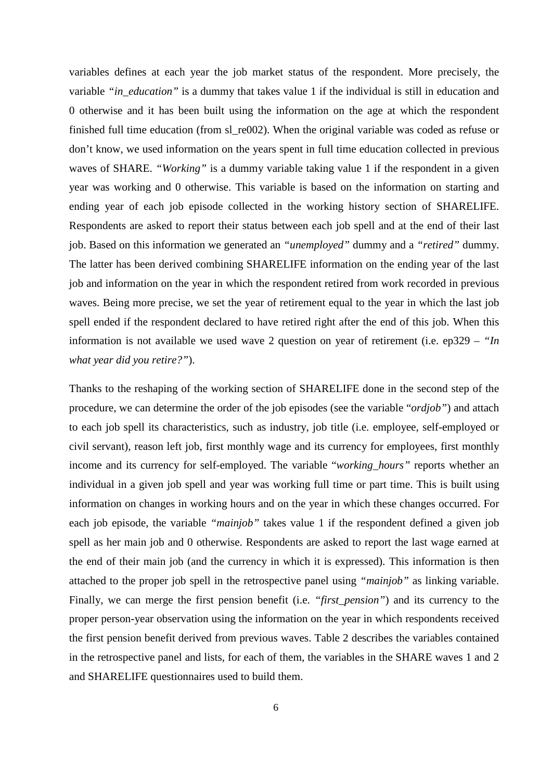variables defines at each year the job market status of the respondent. More precisely, the variable *"in\_education"* is a dummy that takes value 1 if the individual is still in education and 0 otherwise and it has been built using the information on the age at which the respondent finished full time education (from sl\_re002). When the original variable was coded as refuse or don't know, we used information on the years spent in full time education collected in previous waves of SHARE. *"Working"* is a dummy variable taking value 1 if the respondent in a given year was working and 0 otherwise. This variable is based on the information on starting and ending year of each job episode collected in the working history section of SHARELIFE. Respondents are asked to report their status between each job spell and at the end of their last job. Based on this information we generated an *"unemployed"* dummy and a *"retired"* dummy. The latter has been derived combining SHARELIFE information on the ending year of the last job and information on the year in which the respondent retired from work recorded in previous waves. Being more precise, we set the year of retirement equal to the year in which the last job spell ended if the respondent declared to have retired right after the end of this job. When this information is not available we used wave 2 question on year of retirement (i.e. ep329 – *"In what year did you retire?"*).

Thanks to the reshaping of the working section of SHARELIFE done in the second step of the procedure, we can determine the order of the job episodes (see the variable "*ordjob"*) and attach to each job spell its characteristics, such as industry, job title (i.e. employee, self-employed or civil servant), reason left job, first monthly wage and its currency for employees, first monthly income and its currency for self-employed. The variable "*working\_hours"* reports whether an individual in a given job spell and year was working full time or part time. This is built using information on changes in working hours and on the year in which these changes occurred. For each job episode, the variable *"mainjob"* takes value 1 if the respondent defined a given job spell as her main job and 0 otherwise. Respondents are asked to report the last wage earned at the end of their main job (and the currency in which it is expressed). This information is then attached to the proper job spell in the retrospective panel using *"mainjob"* as linking variable. Finally, we can merge the first pension benefit (i.e. *"first\_pension"*) and its currency to the proper person-year observation using the information on the year in which respondents received the first pension benefit derived from previous waves. Table 2 describes the variables contained in the retrospective panel and lists, for each of them, the variables in the SHARE waves 1 and 2 and SHARELIFE questionnaires used to build them.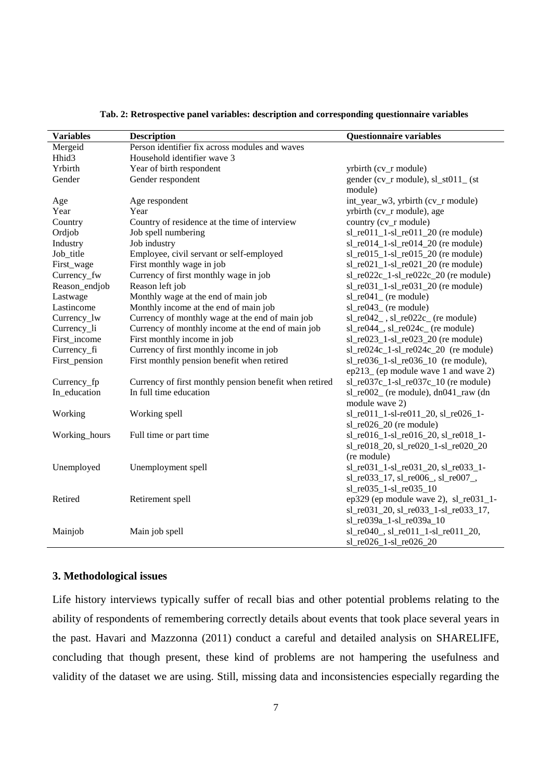| <b>Variables</b>  | <b>Description</b>                                     | <b>Questionnaire variables</b>           |
|-------------------|--------------------------------------------------------|------------------------------------------|
| Mergeid           | Person identifier fix across modules and waves         |                                          |
| Hhid <sub>3</sub> | Household identifier wave 3                            |                                          |
| Yrbirth           | Year of birth respondent                               | yrbirth (cv_r module)                    |
| Gender            | Gender respondent                                      | gender (cv_r module), $sl\_st011\_$ (st  |
|                   |                                                        | module)                                  |
| Age               | Age respondent                                         | int_year_w3, yrbirth (cv_r module)       |
| Year              | Year                                                   | yrbirth (cv_r module), age               |
| Country           | Country of residence at the time of interview          | country (cv_r module)                    |
| Ordjob            | Job spell numbering                                    | sl_re011_1-sl_re011_20 (re module)       |
| Industry          | Job industry                                           | $sl_re014_1-sl_re014_20$ (re module)     |
| Job_title         | Employee, civil servant or self-employed               | $sl_re015_1-sl_re015_20$ (re module)     |
| First_wage        | First monthly wage in job                              | $sl_re021_1-sl_re021_20$ (re module)     |
| Currency_fw       | Currency of first monthly wage in job                  | $sl_re022c_1-sl_re022c_20$ (re module)   |
| Reason_endjob     | Reason left job                                        | $sl_re031_1-sl_re031_20$ (re module)     |
| Lastwage          | Monthly wage at the end of main job                    | $sl\_re041$ (re module)                  |
| Lastincome        | Monthly income at the end of main job                  | $sl_re043$ (re module)                   |
| Currency_lw       | Currency of monthly wage at the end of main job        | $sl_re042$ , $sl_re022c$ (re module)     |
| Currency_li       | Currency of monthly income at the end of main job      | $sl_re044$ , $sl_re024c$ (re module)     |
| First_income      | First monthly income in job                            | $sl_re023_1-sl_re023_20$ (re module)     |
| Currency_fi       | Currency of first monthly income in job                | $sl_re024c_1-sl_re024c_20$ (re module)   |
| First_pension     | First monthly pension benefit when retired             | $sl_re036_1-sl_re036_10$ (re module),    |
|                   |                                                        | ep213_(ep module wave 1 and wave 2)      |
| Currency_fp       | Currency of first monthly pension benefit when retired | $sl_re037c_1-sl_re037c_10$ (re module)   |
| In_education      | In full time education                                 | sl_re002_ (re module), dn041_raw (dn     |
|                   |                                                        | module wave 2)                           |
| Working           | Working spell                                          | sl_re011_1-sl-re011_20, sl_re026_1-      |
|                   |                                                        | $sl_re026_20$ (re module)                |
| Working_hours     | Full time or part time                                 | sl_re016_1-sl_re016_20, sl_re018_1-      |
|                   |                                                        | sl_re018_20, sl_re020_1-sl_re020_20      |
|                   |                                                        | (re module)                              |
| Unemployed        | Unemployment spell                                     | sl_re031_1-sl_re031_20, sl_re033_1-      |
|                   |                                                        | $sl_re033_17, sl_re006_s sl_re007_s$     |
|                   |                                                        | sl_re035_1-sl_re035_10                   |
| Retired           | Retirement spell                                       | ep329 (ep module wave 2), $sl_re031_1$ - |
|                   |                                                        | sl_re031_20, sl_re033_1-sl_re033_17,     |
|                   |                                                        | sl_re039a_1-sl_re039a_10                 |
| Mainjob           | Main job spell                                         | sl_re040_, sl_re011_1-sl_re011_20,       |
|                   |                                                        | sl_re026_1-sl_re026_20                   |

#### **Tab. 2: Retrospective panel variables: description and corresponding questionnaire variables**

#### **3. Methodological issues**

Life history interviews typically suffer of recall bias and other potential problems relating to the ability of respondents of remembering correctly details about events that took place several years in the past. Havari and Mazzonna (2011) conduct a careful and detailed analysis on SHARELIFE, concluding that though present, these kind of problems are not hampering the usefulness and validity of the dataset we are using. Still, missing data and inconsistencies especially regarding the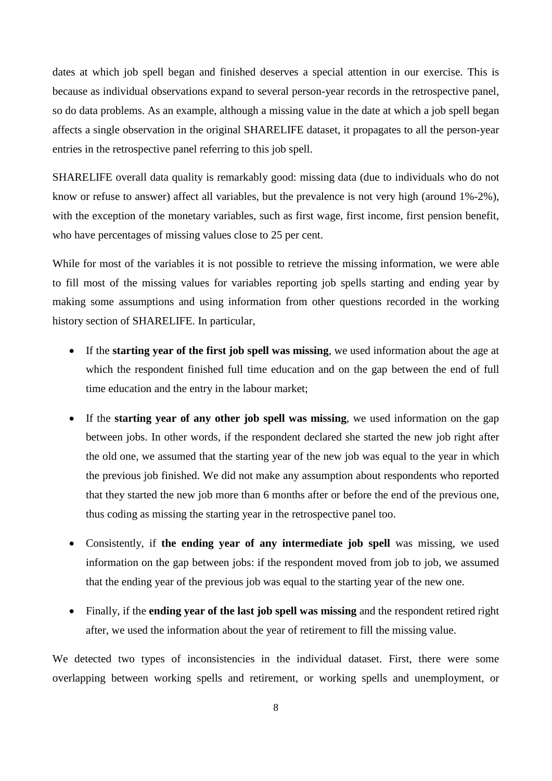dates at which job spell began and finished deserves a special attention in our exercise. This is because as individual observations expand to several person-year records in the retrospective panel, so do data problems. As an example, although a missing value in the date at which a job spell began affects a single observation in the original SHARELIFE dataset, it propagates to all the person-year entries in the retrospective panel referring to this job spell.

SHARELIFE overall data quality is remarkably good: missing data (due to individuals who do not know or refuse to answer) affect all variables, but the prevalence is not very high (around 1%-2%), with the exception of the monetary variables, such as first wage, first income, first pension benefit, who have percentages of missing values close to 25 per cent.

While for most of the variables it is not possible to retrieve the missing information, we were able to fill most of the missing values for variables reporting job spells starting and ending year by making some assumptions and using information from other questions recorded in the working history section of SHARELIFE. In particular,

- If the **starting year of the first job spell was missing**, we used information about the age at which the respondent finished full time education and on the gap between the end of full time education and the entry in the labour market;
- If the **starting year of any other job spell was missing**, we used information on the gap between jobs. In other words, if the respondent declared she started the new job right after the old one, we assumed that the starting year of the new job was equal to the year in which the previous job finished. We did not make any assumption about respondents who reported that they started the new job more than 6 months after or before the end of the previous one, thus coding as missing the starting year in the retrospective panel too.
- Consistently, if **the ending year of any intermediate job spell** was missing, we used information on the gap between jobs: if the respondent moved from job to job, we assumed that the ending year of the previous job was equal to the starting year of the new one.
- Finally, if the **ending year of the last job spell was missing** and the respondent retired right after, we used the information about the year of retirement to fill the missing value.

We detected two types of inconsistencies in the individual dataset. First, there were some overlapping between working spells and retirement, or working spells and unemployment, or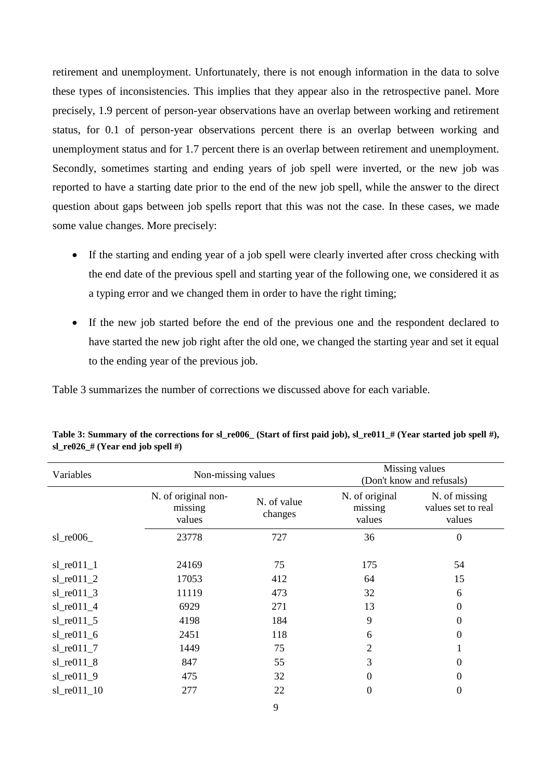retirement and unemployment. Unfortunately, there is not enough information in the data to solve these types of inconsistencies. This implies that they appear also in the retrospective panel. More precisely, 1.9 percent of person-year observations have an overlap between working and retirement status, for 0.1 of person-year observations percent there is an overlap between working and unemployment status and for 1.7 percent there is an overlap between retirement and unemployment. Secondly, sometimes starting and ending years of job spell were inverted, or the new job was reported to have a starting date prior to the end of the new job spell, while the answer to the direct question about gaps between job spells report that this was not the case. In these cases, we made some value changes. More precisely:

- If the starting and ending year of a job spell were clearly inverted after cross checking with the end date of the previous spell and starting year of the following one, we considered it as a typing error and we changed them in order to have the right timing;
- If the new job started before the end of the previous one and the respondent declared to have started the new job right after the old one, we changed the starting year and set it equal to the ending year of the previous job.

Table 3 summarizes the number of corrections we discussed above for each variable.

| Variables          | Non-missing values                       |                        | Missing values<br>(Don't know and refusals) |                                               |
|--------------------|------------------------------------------|------------------------|---------------------------------------------|-----------------------------------------------|
|                    | N. of original non-<br>missing<br>values | N. of value<br>changes | N. of original<br>missing<br>values         | N. of missing<br>values set to real<br>values |
| $sl$ re $006$      | 23778                                    | 727                    | 36                                          | $\overline{0}$                                |
| $sl$ _re $011$ _1  | 24169                                    | 75                     | 175                                         | 54                                            |
| $sl$ re $011$ $2$  | 17053                                    | 412                    | 64                                          | 15                                            |
| $sl_re011_3$       | 11119                                    | 473                    | 32                                          | 6                                             |
| $sl$ re $011$ $4$  | 6929                                     | 271                    | 13                                          | $\boldsymbol{0}$                              |
| $sl$ re $011$ $5$  | 4198                                     | 184                    | 9                                           | $\boldsymbol{0}$                              |
| $sl$ re $011$ 6    | 2451                                     | 118                    | 6                                           | $\Omega$                                      |
| $sl\_re011\_7$     | 1449                                     | 75                     | 2                                           | -1                                            |
| $sl$ re $011_8$    | 847                                      | 55                     | 3                                           | $\Omega$                                      |
| $sl$ re $011_9$    | 475                                      | 32                     | $\overline{0}$                              | $\Omega$                                      |
| $sl$ re $011$ $10$ | 277                                      | 22                     | 0                                           | $\Omega$                                      |

**Table 3: Summary of the corrections for sl\_re006\_ (Start of first paid job), sl\_re011\_# (Year started job spell #), sl**  $\text{re026} \# (\text{Year end job spell } \#)$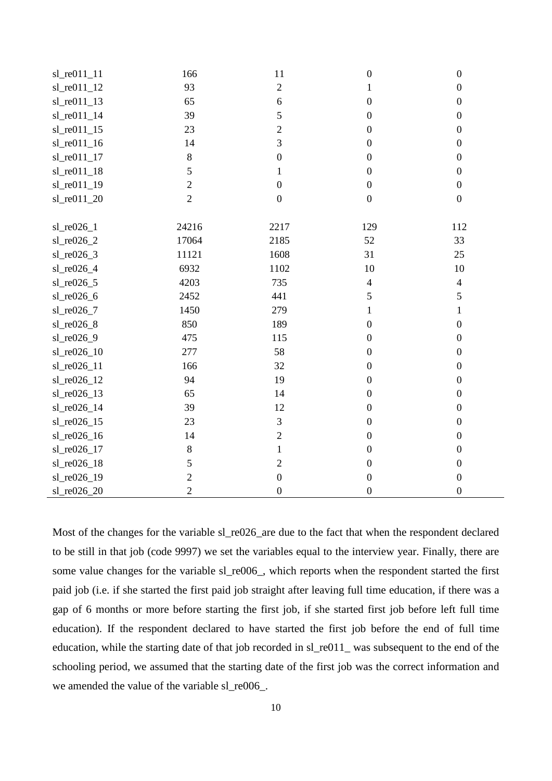| sl_re011_11  | 166            | 11               | $\boldsymbol{0}$ | $\boldsymbol{0}$ |
|--------------|----------------|------------------|------------------|------------------|
| sl_re011_12  | 93             | $\overline{2}$   | $\mathbf{1}$     | $\boldsymbol{0}$ |
| sl_re011_13  | 65             | $\boldsymbol{6}$ | $\boldsymbol{0}$ | $\boldsymbol{0}$ |
| sl_re011_14  | 39             | 5                | $\boldsymbol{0}$ | $\boldsymbol{0}$ |
| sl_re011_15  | 23             | $\sqrt{2}$       | $\boldsymbol{0}$ | $\boldsymbol{0}$ |
| sl_re011_16  | 14             | 3                | $\boldsymbol{0}$ | $\boldsymbol{0}$ |
| sl_re011_17  | $\,8\,$        | $\boldsymbol{0}$ | $\boldsymbol{0}$ | $\boldsymbol{0}$ |
| sl_re011_18  | 5              | $\mathbf{1}$     | $\boldsymbol{0}$ | $\boldsymbol{0}$ |
| sl_re011_19  | $\mathbf{2}$   | $\boldsymbol{0}$ | $\boldsymbol{0}$ | $\boldsymbol{0}$ |
| sl_re011_20  | $\overline{2}$ | $\boldsymbol{0}$ | $\boldsymbol{0}$ | $\boldsymbol{0}$ |
|              |                |                  |                  |                  |
| $sl_re026_1$ | 24216          | 2217             | 129              | 112              |
| sl_re026_2   | 17064          | 2185             | 52               | 33               |
| $sl_re026_3$ | 11121          | 1608             | 31               | 25               |
| sl_re026_4   | 6932           | 1102             | 10               | 10               |
| $sl_re026_5$ | 4203           | 735              | $\overline{4}$   | $\overline{4}$   |
| sl_re026_6   | 2452           | 441              | 5                | 5                |
| sl_re026_7   | 1450           | 279              | $\mathbf{1}$     | $\mathbf{1}$     |
| sl_re026_8   | 850            | 189              | $\boldsymbol{0}$ | $\boldsymbol{0}$ |
| sl_re026_9   | 475            | 115              | $\boldsymbol{0}$ | $\boldsymbol{0}$ |
| sl_re026_10  | 277            | 58               | $\boldsymbol{0}$ | $\boldsymbol{0}$ |
| sl_re026_11  | 166            | 32               | $\boldsymbol{0}$ | $\boldsymbol{0}$ |
| sl_re026_12  | 94             | 19               | $\boldsymbol{0}$ | $\boldsymbol{0}$ |
| sl_re026_13  | 65             | 14               | $\boldsymbol{0}$ | $\boldsymbol{0}$ |
| sl_re026_14  | 39             | 12               | $\boldsymbol{0}$ | $\boldsymbol{0}$ |
| sl_re026_15  | 23             | $\mathfrak{Z}$   | $\boldsymbol{0}$ | $\boldsymbol{0}$ |
| sl_re026_16  | 14             | $\sqrt{2}$       | $\boldsymbol{0}$ | $\boldsymbol{0}$ |
| sl_re026_17  | $\,8\,$        | $\mathbf{1}$     | $\boldsymbol{0}$ | $\boldsymbol{0}$ |
| sl_re026_18  | 5              | $\overline{c}$   | $\boldsymbol{0}$ | $\boldsymbol{0}$ |
| sl_re026_19  | $\mathbf{2}$   | $\boldsymbol{0}$ | $\boldsymbol{0}$ | $\boldsymbol{0}$ |
| sl_re026_20  | $\overline{2}$ | $\boldsymbol{0}$ | $\boldsymbol{0}$ | $\boldsymbol{0}$ |

Most of the changes for the variable sl\_re026\_are due to the fact that when the respondent declared to be still in that job (code 9997) we set the variables equal to the interview year. Finally, there are some value changes for the variable sl\_re006\_, which reports when the respondent started the first paid job (i.e. if she started the first paid job straight after leaving full time education, if there was a gap of 6 months or more before starting the first job, if she started first job before left full time education). If the respondent declared to have started the first job before the end of full time education, while the starting date of that job recorded in sl\_re011\_ was subsequent to the end of the schooling period, we assumed that the starting date of the first job was the correct information and we amended the value of the variable sl\_re006\_.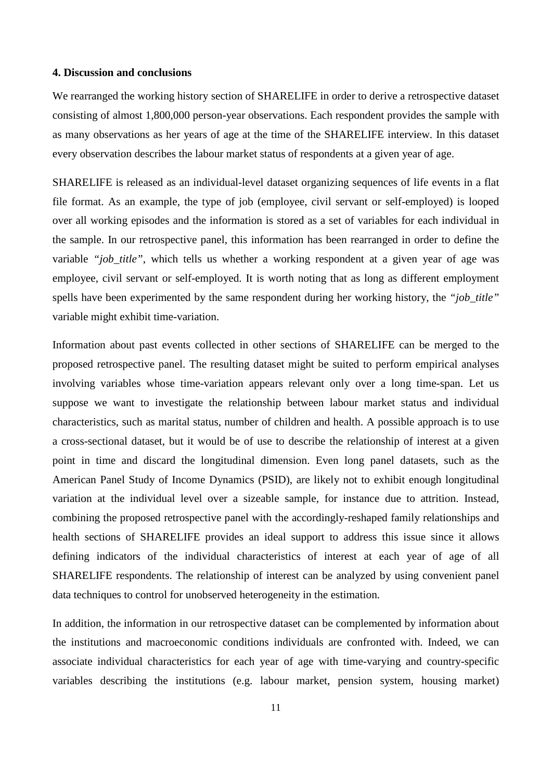#### **4. Discussion and conclusions**

We rearranged the working history section of SHARELIFE in order to derive a retrospective dataset consisting of almost 1,800,000 person-year observations. Each respondent provides the sample with as many observations as her years of age at the time of the SHARELIFE interview. In this dataset every observation describes the labour market status of respondents at a given year of age.

SHARELIFE is released as an individual-level dataset organizing sequences of life events in a flat file format. As an example, the type of job (employee, civil servant or self-employed) is looped over all working episodes and the information is stored as a set of variables for each individual in the sample. In our retrospective panel, this information has been rearranged in order to define the variable "*job title*", which tells us whether a working respondent at a given year of age was employee, civil servant or self-employed. It is worth noting that as long as different employment spells have been experimented by the same respondent during her working history, the *"job\_title"* variable might exhibit time-variation.

Information about past events collected in other sections of SHARELIFE can be merged to the proposed retrospective panel. The resulting dataset might be suited to perform empirical analyses involving variables whose time-variation appears relevant only over a long time-span. Let us suppose we want to investigate the relationship between labour market status and individual characteristics, such as marital status, number of children and health. A possible approach is to use a cross-sectional dataset, but it would be of use to describe the relationship of interest at a given point in time and discard the longitudinal dimension. Even long panel datasets, such as the American Panel Study of Income Dynamics (PSID), are likely not to exhibit enough longitudinal variation at the individual level over a sizeable sample, for instance due to attrition. Instead, combining the proposed retrospective panel with the accordingly-reshaped family relationships and health sections of SHARELIFE provides an ideal support to address this issue since it allows defining indicators of the individual characteristics of interest at each year of age of all SHARELIFE respondents. The relationship of interest can be analyzed by using convenient panel data techniques to control for unobserved heterogeneity in the estimation.

In addition, the information in our retrospective dataset can be complemented by information about the institutions and macroeconomic conditions individuals are confronted with. Indeed, we can associate individual characteristics for each year of age with time-varying and country-specific variables describing the institutions (e.g. labour market, pension system, housing market)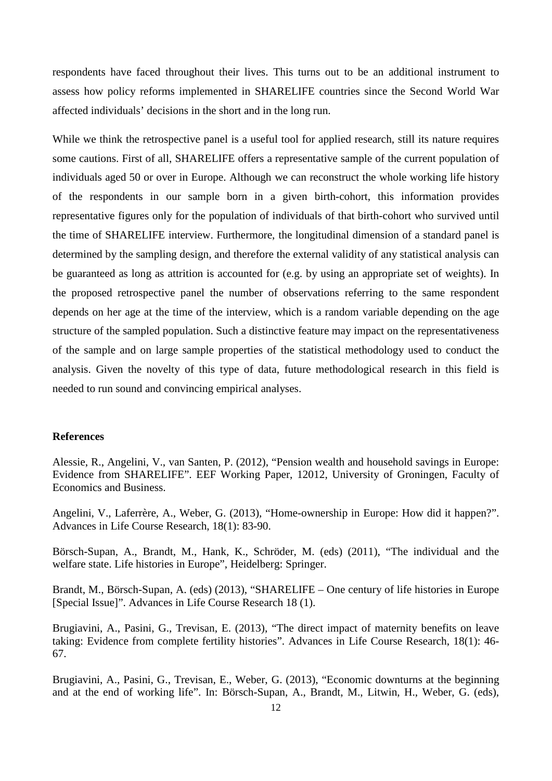respondents have faced throughout their lives. This turns out to be an additional instrument to assess how policy reforms implemented in SHARELIFE countries since the Second World War affected individuals' decisions in the short and in the long run.

While we think the retrospective panel is a useful tool for applied research, still its nature requires some cautions. First of all, SHARELIFE offers a representative sample of the current population of individuals aged 50 or over in Europe. Although we can reconstruct the whole working life history of the respondents in our sample born in a given birth-cohort, this information provides representative figures only for the population of individuals of that birth-cohort who survived until the time of SHARELIFE interview. Furthermore, the longitudinal dimension of a standard panel is determined by the sampling design, and therefore the external validity of any statistical analysis can be guaranteed as long as attrition is accounted for (e.g. by using an appropriate set of weights). In the proposed retrospective panel the number of observations referring to the same respondent depends on her age at the time of the interview, which is a random variable depending on the age structure of the sampled population. Such a distinctive feature may impact on the representativeness of the sample and on large sample properties of the statistical methodology used to conduct the analysis. Given the novelty of this type of data, future methodological research in this field is needed to run sound and convincing empirical analyses.

#### **References**

Alessie, R., Angelini, V., van Santen, P. (2012), "Pension wealth and household savings in Europe: Evidence from SHARELIFE". EEF Working Paper, 12012, University of Groningen, Faculty of Economics and Business.

Angelini, V., Laferrère, A., Weber, G. (2013), "Home-ownership in Europe: How did it happen?". Advances in Life Course Research, 18(1): 83-90.

Börsch-Supan, A., Brandt, M., Hank, K., Schröder, M. (eds) (2011), "The individual and the welfare state. Life histories in Europe", Heidelberg: Springer.

Brandt, M., Börsch-Supan, A. (eds) (2013), "SHARELIFE – One century of life histories in Europe [Special Issue]". Advances in Life Course Research 18 (1).

Brugiavini, A., Pasini, G., Trevisan, E. (2013), "The direct impact of maternity benefits on leave taking: Evidence from complete fertility histories". Advances in Life Course Research, 18(1): 46- 67.

Brugiavini, A., Pasini, G., Trevisan, E., Weber, G. (2013), "Economic downturns at the beginning and at the end of working life". In: Börsch-Supan, A., Brandt, M., Litwin, H., Weber, G. (eds),